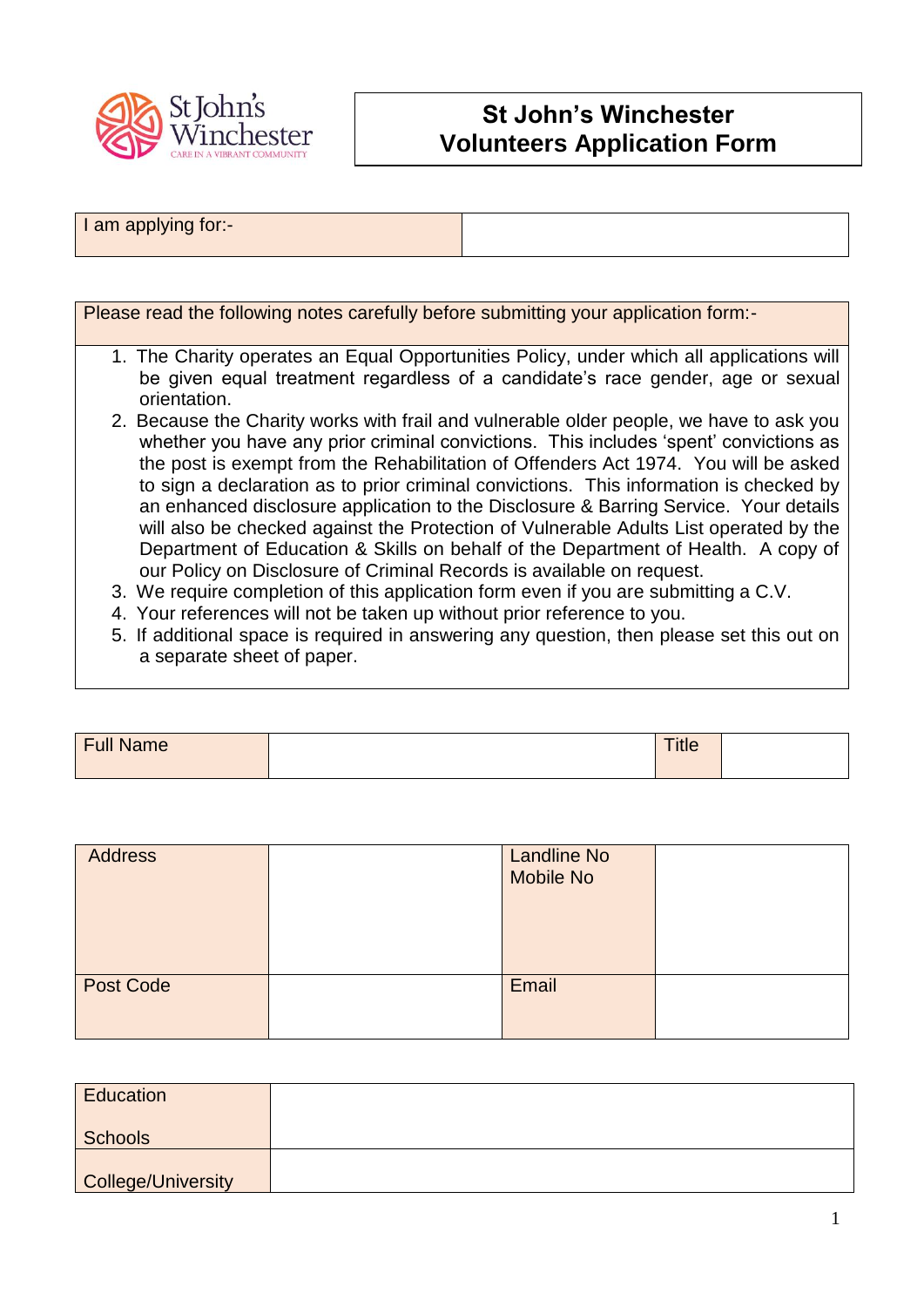

## **St John's Winchester Volunteers Application Form**

## I am applying for:-

Please read the following notes carefully before submitting your application form:-

- 1. The Charity operates an Equal Opportunities Policy, under which all applications will be given equal treatment regardless of a candidate's race gender, age or sexual orientation.
- 2. Because the Charity works with frail and vulnerable older people, we have to ask you whether you have any prior criminal convictions. This includes 'spent' convictions as the post is exempt from the Rehabilitation of Offenders Act 1974. You will be asked to sign a declaration as to prior criminal convictions. This information is checked by an enhanced disclosure application to the Disclosure & Barring Service. Your details will also be checked against the Protection of Vulnerable Adults List operated by the Department of Education & Skills on behalf of the Department of Health. A copy of our Policy on Disclosure of Criminal Records is available on request.
- 3. We require completion of this application form even if you are submitting a C.V.
- 4. Your references will not be taken up without prior reference to you.
- 5. If additional space is required in answering any question, then please set this out on a separate sheet of paper.

| <b>Tull Name</b> | <b>TELLE</b><br><b>THE</b> |  |
|------------------|----------------------------|--|
|                  |                            |  |

| <b>Address</b> | <b>Landline No</b><br>Mobile No |  |
|----------------|---------------------------------|--|
| Post Code      | Email                           |  |

| Education          |  |
|--------------------|--|
| <b>Schools</b>     |  |
| College/University |  |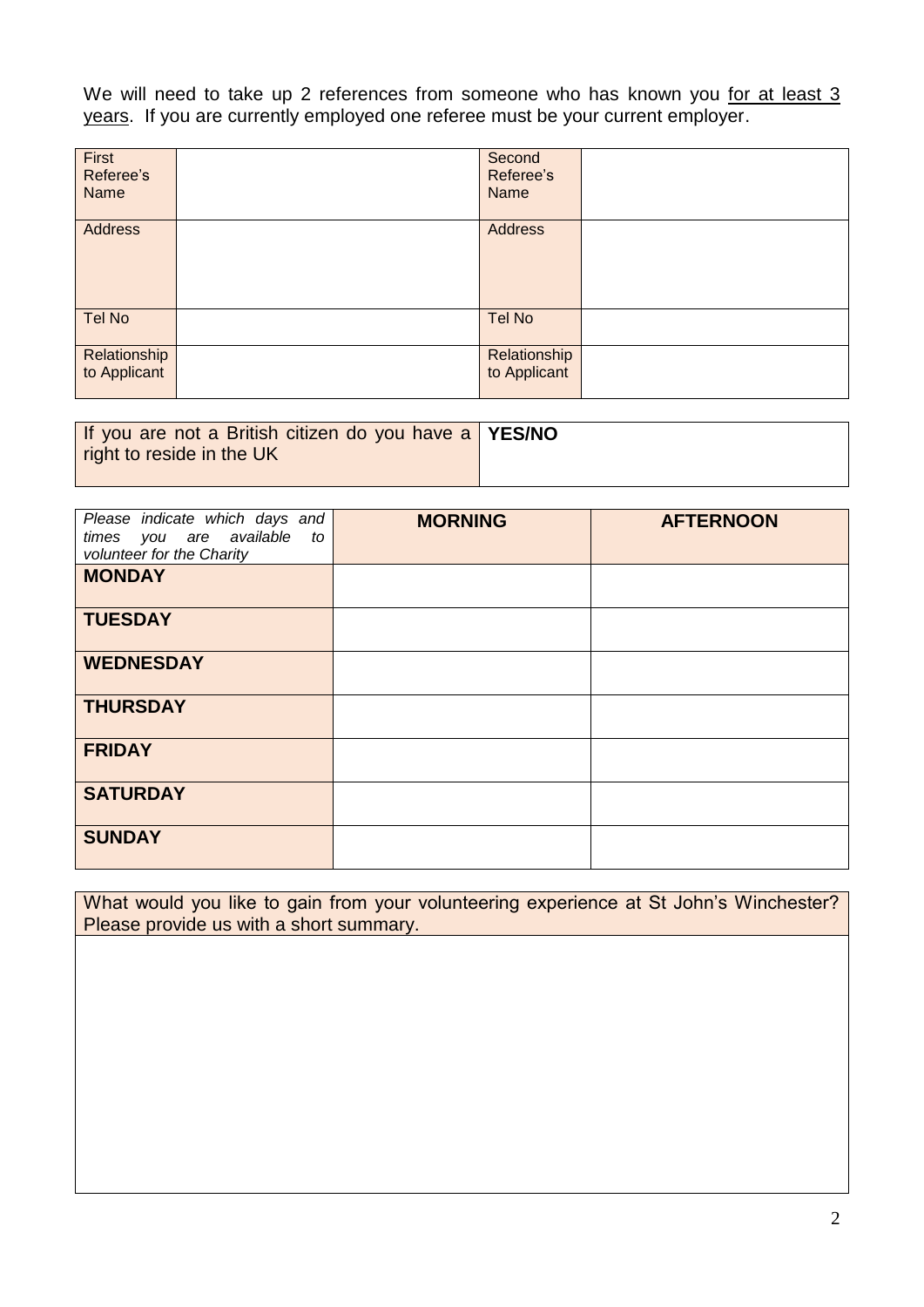We will need to take up 2 references from someone who has known you for at least 3 years. If you are currently employed one referee must be your current employer.

| First<br>Referee's<br>Name   | Second<br>Referee's<br>Name  |  |
|------------------------------|------------------------------|--|
| <b>Address</b>               | <b>Address</b>               |  |
| <b>Tel No</b>                | Tel No                       |  |
| Relationship<br>to Applicant | Relationship<br>to Applicant |  |

| If you are not a British citizen do you have a YES/NO |  |
|-------------------------------------------------------|--|
| right to reside in the UK                             |  |
|                                                       |  |

| Please indicate which days and<br>times you are available<br>to<br>volunteer for the Charity | <b>MORNING</b> | <b>AFTERNOON</b> |
|----------------------------------------------------------------------------------------------|----------------|------------------|
| <b>MONDAY</b>                                                                                |                |                  |
| <b>TUESDAY</b>                                                                               |                |                  |
| <b>WEDNESDAY</b>                                                                             |                |                  |
| <b>THURSDAY</b>                                                                              |                |                  |
| <b>FRIDAY</b>                                                                                |                |                  |
| <b>SATURDAY</b>                                                                              |                |                  |
| <b>SUNDAY</b>                                                                                |                |                  |

What would you like to gain from your volunteering experience at St John's Winchester? Please provide us with a short summary.